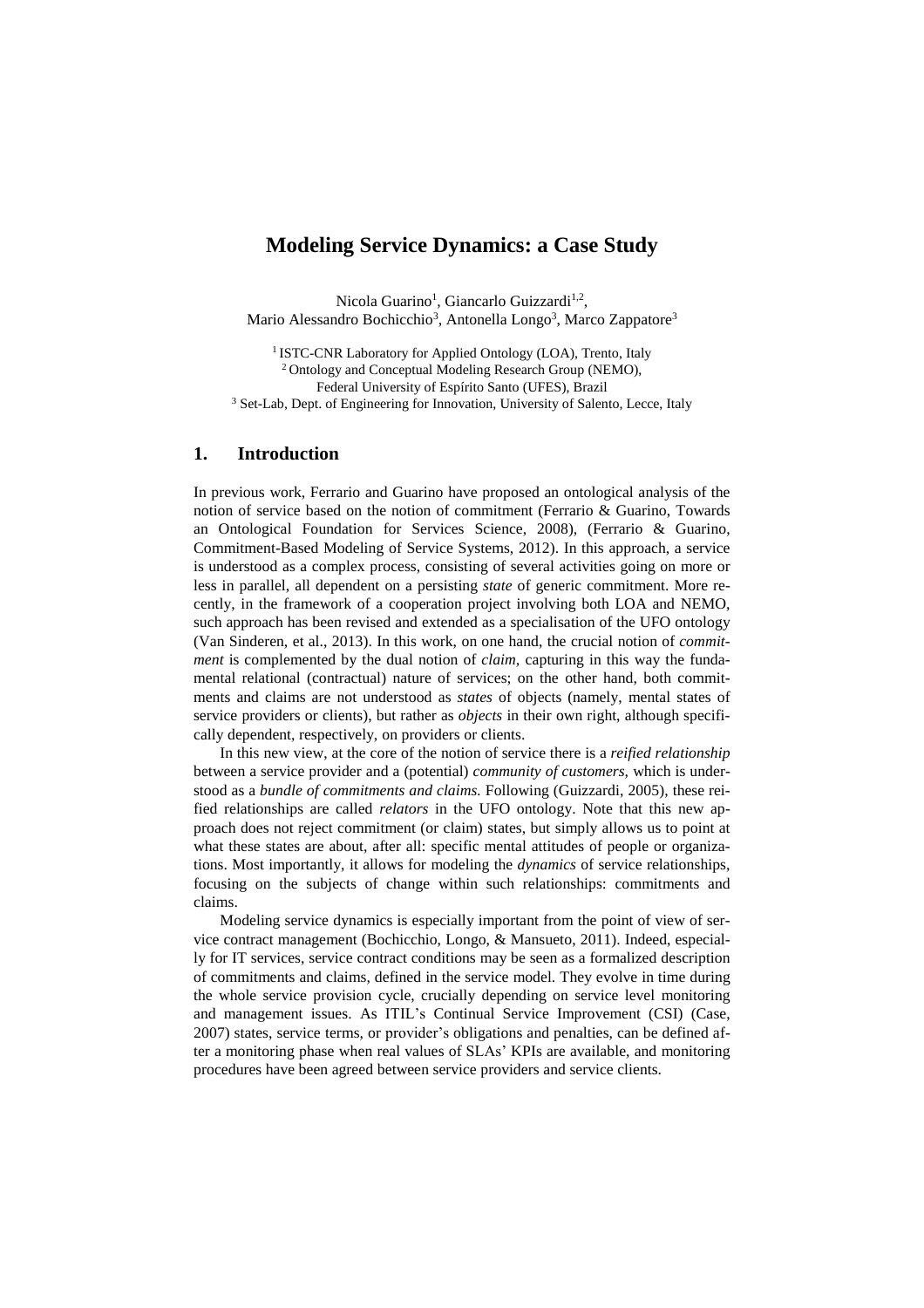## **Modeling Service Dynamics: a Case Study**

Nicola Guarino<sup>1</sup>, Giancarlo Guizzardi<sup>1,2</sup>, Mario Alessandro Bochicchio<sup>3</sup>, Antonella Longo<sup>3</sup>, Marco Zappatore<sup>3</sup>

<sup>1</sup> ISTC-CNR Laboratory for Applied Ontology (LOA), Trento, Italy <sup>2</sup> Ontology and Conceptual Modeling Research Group (NEMO), Federal University of Espírito Santo (UFES), Brazil <sup>3</sup> Set-Lab, Dept. of Engineering for Innovation, University of Salento, Lecce, Italy

## **1. Introduction**

In previous work, Ferrario and Guarino have proposed an ontological analysis of the notion of service based on the notion of commitment (Ferrario & Guarino, Towards an Ontological Foundation for Services Science, 2008), (Ferrario & Guarino, Commitment-Based Modeling of Service Systems, 2012). In this approach, a service is understood as a complex process, consisting of several activities going on more or less in parallel, all dependent on a persisting *state* of generic commitment. More recently, in the framework of a cooperation project involving both LOA and NEMO, such approach has been revised and extended as a specialisation of the UFO ontology (Van Sinderen, et al., 2013). In this work, on one hand, the crucial notion of *commitment* is complemented by the dual notion of *claim,* capturing in this way the fundamental relational (contractual) nature of services; on the other hand, both commitments and claims are not understood as *states* of objects (namely, mental states of service providers or clients), but rather as *objects* in their own right, although specifically dependent, respectively, on providers or clients.

In this new view, at the core of the notion of service there is a *reified relationship* between a service provider and a (potential) *community of customers,* which is understood as a *bundle of commitments and claims.* Following (Guizzardi, 2005), these reified relationships are called *relators* in the UFO ontology. Note that this new approach does not reject commitment (or claim) states, but simply allows us to point at what these states are about, after all: specific mental attitudes of people or organizations. Most importantly, it allows for modeling the *dynamics* of service relationships, focusing on the subjects of change within such relationships: commitments and claims.

Modeling service dynamics is especially important from the point of view of service contract management (Bochicchio, Longo, & Mansueto, 2011). Indeed, especially for IT services, service contract conditions may be seen as a formalized description of commitments and claims, defined in the service model. They evolve in time during the whole service provision cycle, crucially depending on service level monitoring and management issues. As ITIL's Continual Service Improvement (CSI) (Case, 2007) states, service terms, or provider's obligations and penalties, can be defined after a monitoring phase when real values of SLAs' KPIs are available, and monitoring procedures have been agreed between service providers and service clients.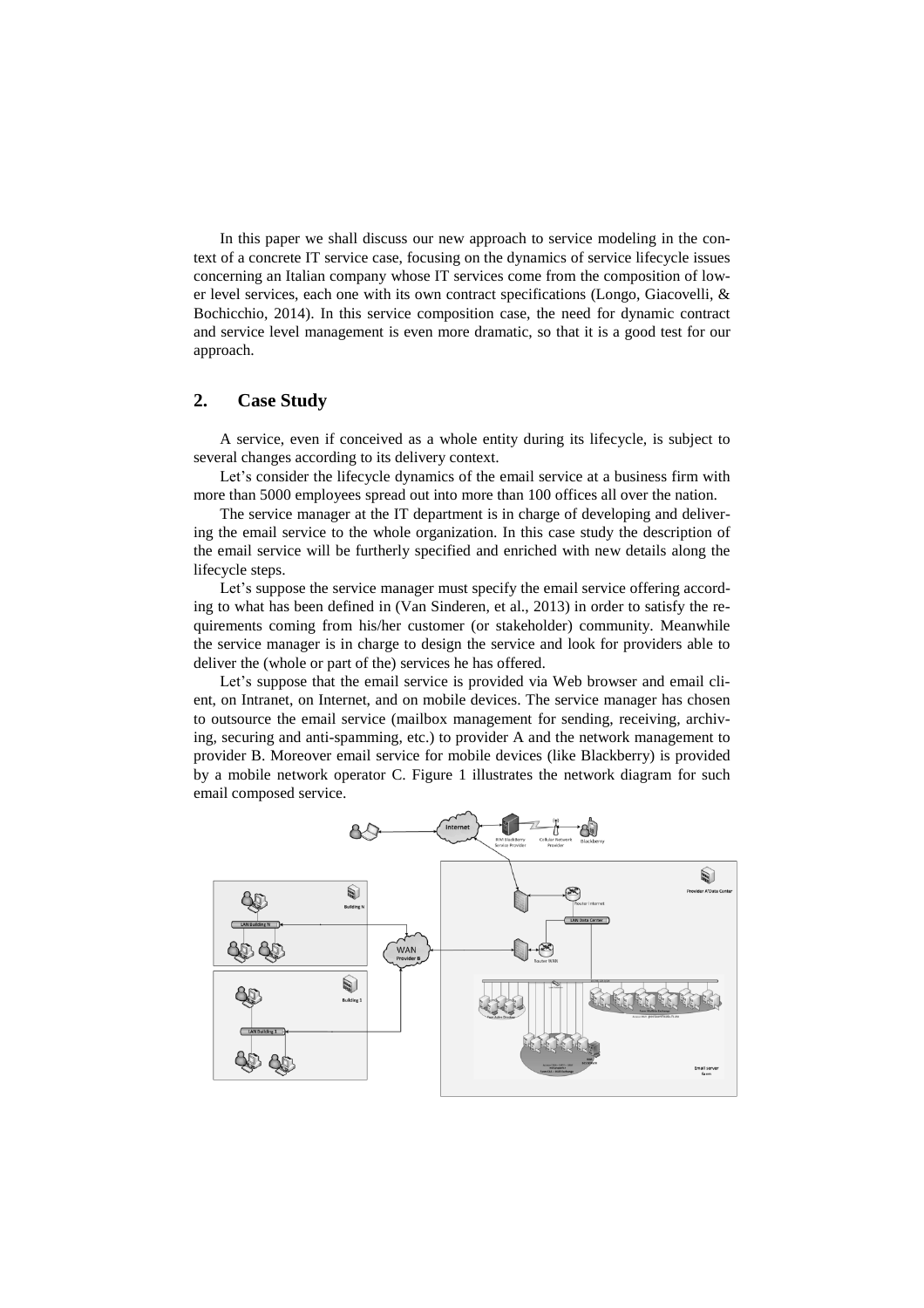In this paper we shall discuss our new approach to service modeling in the context of a concrete IT service case, focusing on the dynamics of service lifecycle issues concerning an Italian company whose IT services come from the composition of lower level services, each one with its own contract specifications (Longo, Giacovelli, & Bochicchio, 2014). In this service composition case, the need for dynamic contract and service level management is even more dramatic, so that it is a good test for our approach.

## **2. Case Study**

A service, even if conceived as a whole entity during its lifecycle, is subject to several changes according to its delivery context.

Let's consider the lifecycle dynamics of the email service at a business firm with more than 5000 employees spread out into more than 100 offices all over the nation.

The service manager at the IT department is in charge of developing and delivering the email service to the whole organization. In this case study the description of the email service will be furtherly specified and enriched with new details along the lifecycle steps.

Let's suppose the service manager must specify the email service offering according to what has been defined in (Van Sinderen, et al., 2013) in order to satisfy the requirements coming from his/her customer (or stakeholder) community. Meanwhile the service manager is in charge to design the service and look for providers able to deliver the (whole or part of the) services he has offered.

Let's suppose that the email service is provided via Web browser and email client, on Intranet, on Internet, and on mobile devices. The service manager has chosen to outsource the email service (mailbox management for sending, receiving, archiving, securing and anti-spamming, etc.) to provider A and the network management to provider B. Moreover email service for mobile devices (like Blackberry) is provided by a mobile network operator C. Figure 1 illustrates the network diagram for such email composed service.

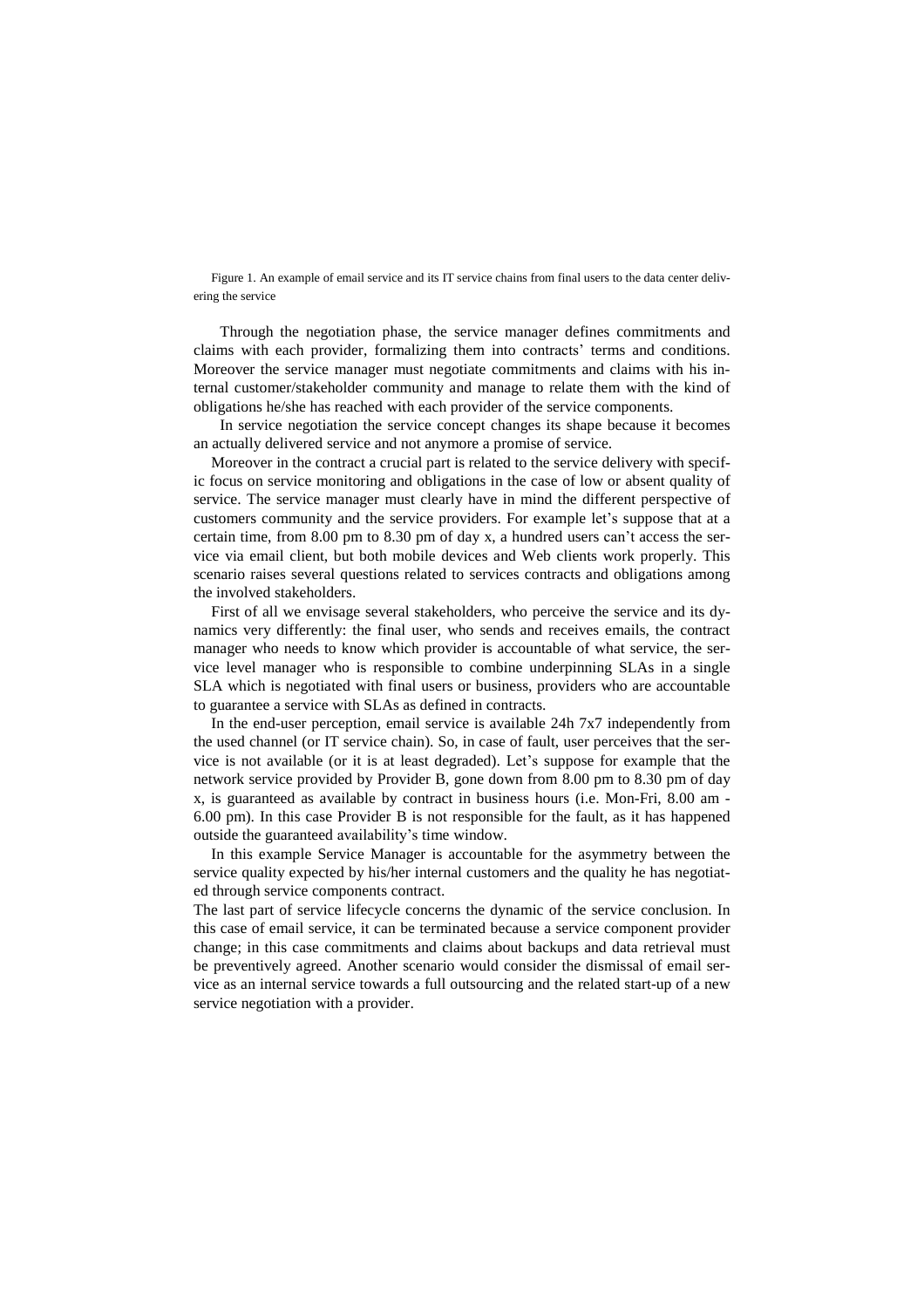Figure 1. An example of email service and its IT service chains from final users to the data center delivering the service

Through the negotiation phase, the service manager defines commitments and claims with each provider, formalizing them into contracts' terms and conditions. Moreover the service manager must negotiate commitments and claims with his internal customer/stakeholder community and manage to relate them with the kind of obligations he/she has reached with each provider of the service components.

In service negotiation the service concept changes its shape because it becomes an actually delivered service and not anymore a promise of service.

Moreover in the contract a crucial part is related to the service delivery with specific focus on service monitoring and obligations in the case of low or absent quality of service. The service manager must clearly have in mind the different perspective of customers community and the service providers. For example let's suppose that at a certain time, from 8.00 pm to 8.30 pm of day x, a hundred users can't access the service via email client, but both mobile devices and Web clients work properly. This scenario raises several questions related to services contracts and obligations among the involved stakeholders.

First of all we envisage several stakeholders, who perceive the service and its dynamics very differently: the final user, who sends and receives emails, the contract manager who needs to know which provider is accountable of what service, the service level manager who is responsible to combine underpinning SLAs in a single SLA which is negotiated with final users or business, providers who are accountable to guarantee a service with SLAs as defined in contracts.

In the end-user perception, email service is available 24h 7x7 independently from the used channel (or IT service chain). So, in case of fault, user perceives that the service is not available (or it is at least degraded). Let's suppose for example that the network service provided by Provider B, gone down from 8.00 pm to 8.30 pm of day x, is guaranteed as available by contract in business hours (i.e. Mon-Fri, 8.00 am - 6.00 pm). In this case Provider B is not responsible for the fault, as it has happened outside the guaranteed availability's time window.

In this example Service Manager is accountable for the asymmetry between the service quality expected by his/her internal customers and the quality he has negotiated through service components contract.

The last part of service lifecycle concerns the dynamic of the service conclusion. In this case of email service, it can be terminated because a service component provider change; in this case commitments and claims about backups and data retrieval must be preventively agreed. Another scenario would consider the dismissal of email service as an internal service towards a full outsourcing and the related start-up of a new service negotiation with a provider.